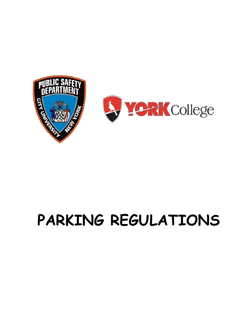



# **PARKING REGULATIONS**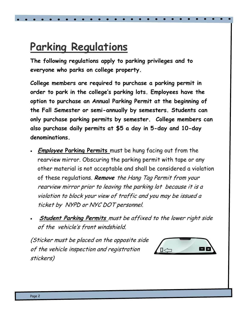# **Parking Regulations**

**The following regulations apply to parking privileges and to everyone who parks on college property.** 

**College members are required to purchase a parking permit in order to park in the college's parking lots. Employees have the option to purchase an Annual Parking Permit at the beginning of the Fall Semester or semi-annually by semesters. Students can only purchase parking permits by semester. College members can also purchase daily permits at \$5 a day in 5-day and 10-day denominations.** 

- **Employee Parking Permits** must be hung facing out from the rearview mirror. Obscuring the parking permit with tape or any other material is not acceptable and shall be considered a violation of these regulations. **Remove** the Hang Tag Permit from your rearview mirror prior to leaving the parking lot because it is a violation to block your view of traffic and you may be issued a ticket by NYPD or NYC DOT personnel.
- **Student Parking Permits** must be affixed to the lower right side of the vehicle's front windshield.

(Sticker must be placed on the opposite side of the vehicle inspection and registration stickers)

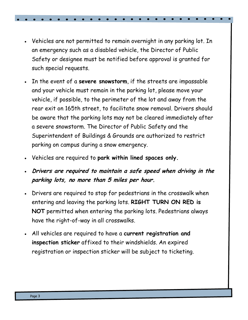- Vehicles are not permitted to remain overnight in any parking lot. In an emergency such as a disabled vehicle, the Director of Public Safety or designee must be notified before approval is granted for such special requests.
- In the event of a **severe snowstorm**, if the streets are impassable and your vehicle must remain in the parking lot, please move your vehicle, if possible, to the perimeter of the lot and away from the rear exit on 165th street, to facilitate snow removal. Drivers should be aware that the parking lots may not be cleared immediately after a severe snowstorm. The Director of Public Safety and the Superintendent of Buildings & Grounds are authorized to restrict parking on campus during a snow emergency.
- Vehicles are required to **park within lined spaces only.**
- **Drivers are required to maintain a safe speed when driving in the parking lots, no more than 5 miles per hour.**
- Drivers are required to stop for pedestrians in the crosswalk when entering and leaving the parking lots. **RIGHT TURN ON RED is NOT** permitted when entering the parking lots. Pedestrians always have the right-of-way in all crosswalks.
- All vehicles are required to have a **current registration and inspection sticker** affixed to their windshields. An expired registration or inspection sticker will be subject to ticketing.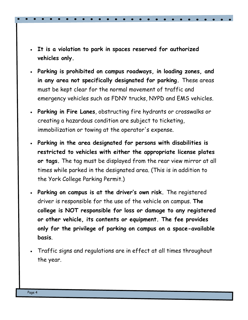- **It is a violation to park in spaces reserved for authorized vehicles only.**
- **Parking is prohibited on campus roadways, in loading zones, and in any area not specifically designated for parking.** These areas must be kept clear for the normal movement of traffic and emergency vehicles such as FDNY trucks, NYPD and EMS vehicles.
- **Parking in Fire Lanes**, obstructing fire hydrants or crosswalks or creating a hazardous condition are subject to ticketing, immobilization or towing at the operator's expense.
- **Parking in the area designated for persons with disabilities is restricted to vehicles with either the appropriate license plates or tags.** The tag must be displayed from the rear view mirror at all times while parked in the designated area. (This is in addition to the York College Parking Permit.)
- **Parking on campus is at the driver's own risk.** The registered driver is responsible for the use of the vehicle on campus. **The college is NOT responsible for loss or damage to any registered or other vehicle, its contents or equipment. The fee provides only for the privilege of parking on campus on a space-available basis**.
- Traffic signs and regulations are in effect at all times throughout the year.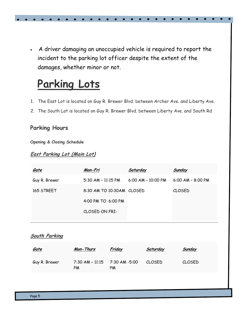A driver damaging an unoccupied vehicle is required to report the incident to the parking lot officer despite the extent of the damages, whether minor or not.

# **Parking Lots**

- 1. The East Lot is located on Guy R. Brewer Blvd. between Archer Ave. and Liberty Ave.
- 2. The South Lot is located on Guy R. Brewer Blvd. between Liberty Ave. and South Rd

#### **Parking Hours**

**Opening & Closing Schedule**

#### **East Parking Lot (Main Lot)**

| Gate          | Mon-Fri                   | <b>Saturday</b>      | <b>Sunday</b>       |
|---------------|---------------------------|----------------------|---------------------|
| Guy R. Brewer | $5:30$ AM - 11:15 PM      | $6:00$ AM - 10:00 PM | $6:00$ AM - 8:00 PM |
| 165 STREET    | 8:30 AM TO 10:30AM CLOSED |                      | <b>CLOSED</b>       |
|               | 4:00 PM TO 6:00 PM        |                      |                     |
|               | CLOSED ON FRI-            |                      |                     |
|               |                           |                      |                     |

#### **South Parking**

| <u>Gate</u>   | Mon-Thurs             | <u>Friday</u>       | <u>Saturday</u> | <u>Sunday</u> |
|---------------|-----------------------|---------------------|-----------------|---------------|
| Guy R. Brewer | 7:30 AM - 11:15<br>PM | 7:30 AM -5:00<br>PM | CLOSED          | <b>CLOSED</b> |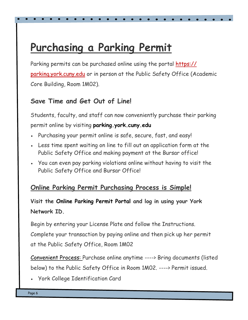# **Purchasing a Parking Permit**

Parking permits can be purchased online using the portal [https://](https://parking.york.cuny.edu) [parking.york.cuny.edu](https://parking.york.cuny.edu) or in person at the Public Safety Office (Academic Core Building, Room 1M02).

### **Save Time and Get Out of Line!**

Students, faculty, and staff can now conveniently purchase their parking permit online by visiting **parking.york.cuny.edu**

- Purchasing your permit online is safe, secure, fast, and easy!
- Less time spent waiting on line to fill out an application form at the Public Safety Office and making payment at the Bursar office!
- You can even pay parking violations online without having to visit the Public Safety Office and Bursar Office!

### **Online Parking Permit Purchasing Process is Simple!**

### **Visit the Online Parking Permit Portal and log in using your York Network ID.**

Begin by entering your License Plate and follow the Instructions. Complete your transaction by paying online and then pick up her permit at the Public Safety Office, Room 1M02

Convenient Process: Purchase online anytime ----> Bring documents (listed below) to the Public Safety Office in Room 1M02. ----> Permit issued.

York College Identification Card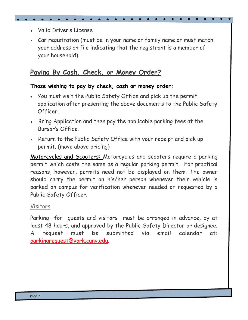- Valid Driver's License
- Car registration (must be in your name or family name or must match your address on file indicating that the registrant is a member of your household)

### **Paying By Cash, Check, or Money Order?**

#### **Those wishing to pay by check, cash or money order:**

- You must visit the Public Safety Office and pick up the permit application after presenting the above documents to the Public Safety Officer.
- Bring Application and then pay the applicable parking fees at the Bursar's Office.
- Return to the Public Safety Office with your receipt and pick up permit. (move above pricing)

Motorcycles and Scooters: Motorcycles and scooters require a parking permit which costs the same as a regular parking permit. For practical reasons, however, permits need not be displayed on them. The owner should carry the permit on his/her person whenever their vehicle is parked on campus for verification whenever needed or requested by a Public Safety Officer.

#### Visitors

Parking for guests and visitors must be arranged in advance, by at least 48 hours, and approved by the Public Safety Director or designee. A request must be submitted via email calendar at: [parkingrequest@york.cuny.edu.](mailto:parkingrequest@york.cuny.edu)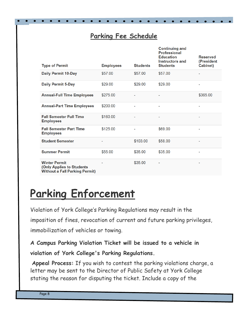### **Parking Fee Schedule**

| <b>Type of Permit</b>                                                                      | <b>Employees</b> | <b>Students</b> | <b>Continuing and</b><br><b>Professional</b><br><b>Education</b><br><b>Instructors and</b><br><b>Students</b> | <b>Reserved</b><br>(President<br><b>Cabinet)</b> |
|--------------------------------------------------------------------------------------------|------------------|-----------------|---------------------------------------------------------------------------------------------------------------|--------------------------------------------------|
| <b>Daily Permit 10-Day</b>                                                                 | \$57.00          | \$57.00         | \$57.00                                                                                                       | -                                                |
| <b>Daily Permit 5-Day</b>                                                                  | \$29.00          | \$29.00         | \$29.00                                                                                                       |                                                  |
| <b>Annual-Full Time Employees</b>                                                          | \$275.00         | -               | ۰                                                                                                             | \$365.00                                         |
| <b>Annual-Part Time Employees</b>                                                          | \$200.00         | -               | -                                                                                                             | -                                                |
| <b>Fall Semester Full Time</b><br><b>Employees</b>                                         | \$160.00         | ۰               | -                                                                                                             | ۰                                                |
| <b>Fall Semester Part Time</b><br><b>Employees</b>                                         | \$125.00         | ٠               | \$69.00                                                                                                       | -                                                |
| <b>Student Semester</b>                                                                    |                  | \$103.00        | \$58.00                                                                                                       | -                                                |
| <b>Summer Permit</b>                                                                       | \$55.00          | \$35.00         | \$35.00                                                                                                       | ۰                                                |
| <b>Winter Permit</b><br>(Only Applies to Students<br><b>Without a Fall Parking Permit)</b> |                  | \$35.00         |                                                                                                               | ۰                                                |

# **Parking Enforcement**

Violation of York College's Parking Regulations may result in the imposition of fines, revocation of current and future parking privileges, immobilization of vehicles or towing.

**A Campus Parking Violation Ticket will be issued to a vehicle in violation of York College's Parking Regulations.**

**Appeal Process:** If you wish to contest the parking violations charge, a letter may be sent to the Director of Public Safety at York College stating the reason for disputing the ticket. Include a copy of the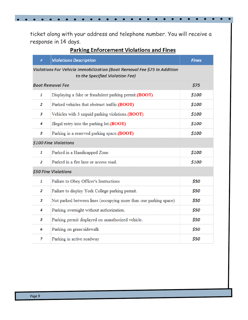ticket along with your address and telephone number. You will receive a response in 14 days.

| <b>Parking Enforcement Violations and Fines</b> |
|-------------------------------------------------|
|-------------------------------------------------|

 $\bullet$  $\bullet$ 

| # | <b>Violations Description</b>                                                                               | <b>Fines</b> |  |
|---|-------------------------------------------------------------------------------------------------------------|--------------|--|
|   | Violations For Vehicle Immobilization (Boot Removal Fee \$75 In Addition<br>to the Specified Violation Fee) |              |  |
|   | <b>Boot Removal Fee</b>                                                                                     | \$75         |  |
| 1 | Displaying a fake or fraudulent parking permit.(BOOT)                                                       | \$100        |  |
| 2 | Parked vehicles that obstruct traffic.(BOOT)                                                                | \$100        |  |
| 3 | Vehicles with 3 unpaid parking violations.(BOOT)                                                            | \$100        |  |
| 4 | Illegal entry into the parking lot. (BOOT)                                                                  | \$100        |  |
| 5 | Parking in a reserved parking space.(BOOT)                                                                  | \$100        |  |
|   | \$100 Fine Violations                                                                                       |              |  |
| 1 | Parked in a Handicapped Zone                                                                                | \$100        |  |
| 2 | Parked in a fire lane or access road.                                                                       | \$100        |  |
|   | \$50 Fine Violations                                                                                        |              |  |
| 1 | Failure to Obey Officer's Instructions                                                                      | \$50         |  |
| 2 | Failure to display York College parking permit.                                                             | \$50         |  |
| 3 | Not parked between lines (occupying more than one parking space)                                            | \$50         |  |
| 4 | Parking overnight without authorization.                                                                    | \$50         |  |
| 5 | Parking permit displayed on unauthorized vehicle.                                                           | \$50         |  |
| 6 | Parking on grass/sidewalk                                                                                   | \$50         |  |
| 7 | Parking in active roadway                                                                                   | \$50         |  |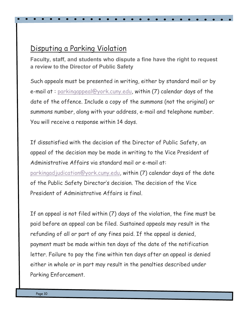# Disputing a Parking Violation

**Faculty, staff, and students who dispute a fine have the right to request a review to the Director of Public Safety**

Such appeals must be presented in writing, either by standard mail or by e-mail at : [parkingappeal@york.cuny.edu,](mailto:parkingappeal@york.cuny.edu) within (7) calendar days of the date of the offence. Include a copy of the summons (not the original) or summons number, along with your address, e-mail and telephone number. You will receive a response within 14 days.

If dissatisfied with the decision of the Director of Public Safety, an appeal of the decision may be made in writing to the Vice President of Administrative Affairs via standard mail or e-mail at: [parkingadjudication@york.cuny.edu,](mailto:parkingadjudication@york.cuny.edu) within (7) calendar days of the date of the Public Safety Director's decision. The decision of the Vice President of Administrative Affairs is final.

If an appeal is not filed within (7) days of the violation, the fine must be paid before an appeal can be filed. Sustained appeals may result in the refunding of all or part of any fines paid. If the appeal is denied, payment must be made within ten days of the date of the notification letter. Failure to pay the fine within ten days after an appeal is denied either in whole or in part may result in the penalties described under Parking Enforcement.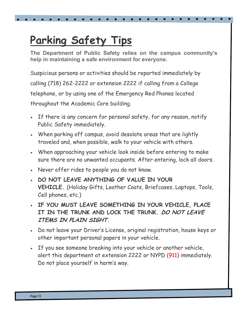# **Parking Safety Tips**

**The Department of Public Safety relies on the campus community's help in maintaining a safe environment for everyone.**

Suspicious persons or activities should be reported immediately by calling (718) 262-2222 or extension 2222 if calling from a College telephone, or by using one of the Emergency Red Phones located throughout the Academic Core building.

- If there is any concern for personal safety, for any reason, notify Public Safety immediately.
- When parking off campus, avoid desolate areas that are lightly traveled and, when possible, walk to your vehicle with others.
- When approaching your vehicle look inside before entering to make sure there are no unwanted occupants. After entering, lock all doors.
- Never offer rides to people you do not know.
- **DO NOT LEAVE ANYTHING OF VALUE IN YOUR VEHICLE.** (Holiday Gifts, Leather Coats, Briefcases, Laptops, Tools, Cell phones, etc.)
- **IF YOU MUST LEAVE SOMETHING IN YOUR VEHICLE, PLACE IT IN THE TRUNK AND LOCK THE TRUNK. DO NOT LEAVE ITEMS IN PLAIN SIGHT.**
- Do not leave your Driver's License, original registration, house keys or other important personal papers in your vehicle.
- If you see someone breaking into your vehicle or another vehicle, alert this department at extension 2222 or NYPD (911) immediately. Do not place yourself in harm's way.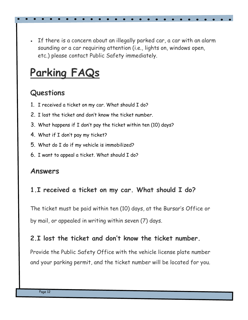If there is a concern about an illegally parked car, a car with an alarm sounding or a car requiring attention (i.e., lights on, windows open, etc.) please contact Public Safety immediately.

# **Parking FAQs**

# **Questions**

- 1. I received a ticket on my car. What should I do?
- 2. I lost the ticket and don't know the ticket number.
- 3. What happens if I don't pay the ticket within ten (10) days?
- 4. What if I don't pay my ticket?
- 5. What do I do if my vehicle is immobilized?
- 6. I want to appeal a ticket. What should I do?

# **Answers**

# **1.I received a ticket on my car. What should I do?**

The ticket must be paid within ten (10) days, at the Bursar's Office or by mail, or appealed in writing within seven (7) days.

## **2.I lost the ticket and don't know the ticket number.**

Provide the Public Safety Office with the vehicle license plate number and your parking permit, and the ticket number will be located for you.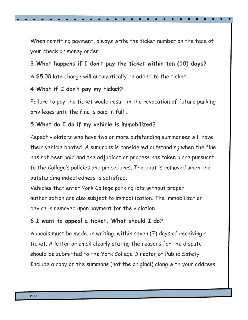When remitting payment, always write the ticket number on the face of your check or money order.

### **3.What happens if I don't pay the ticket within ten (10) days?**

A \$5.00 late charge will automatically be added to the ticket.

#### **4.What if I don't pay my ticket?**

Failure to pay the ticket would result in the revocation of future parking privileges until the fine is paid in full .

### **5.What do I do if my vehicle is immobilized?**

Repeat violators who have two or more outstanding summonses will have their vehicle booted. A summons is considered outstanding when the fine has not been paid and the adjudication process has taken place pursuant to the College's policies and procedures. The boot is removed when the outstanding indebtedness is satisfied.

Vehicles that enter York College parking lots without proper authorization are also subject to immobilization. The immobilization device is removed upon payment for the violation.

### **6.I want to appeal a ticket. What should I do?**

Appeals must be made, in writing, within seven (7) days of receiving a ticket. A letter or email clearly stating the reasons for the dispute should be submitted to the York College Director of Public Safety. Include a copy of the summons (not the original) along with your address